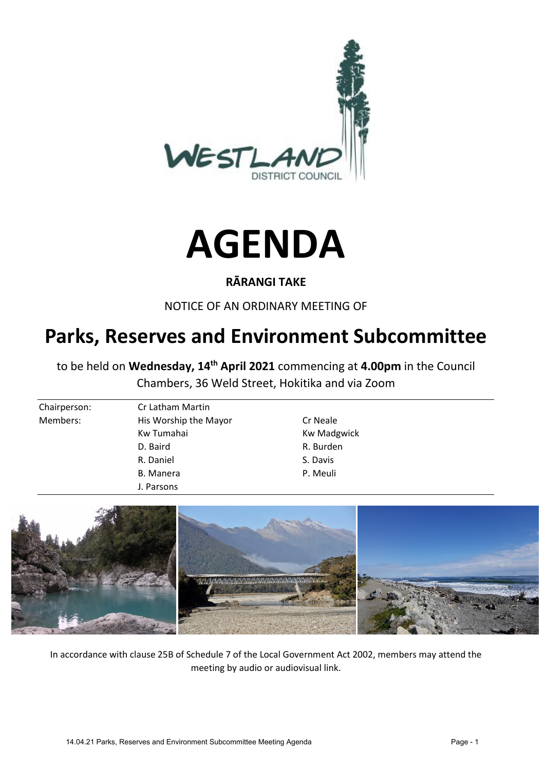



#### **RĀRANGI TAKE**

NOTICE OF AN ORDINARY MEETING OF

# **Parks, Reserves and Environment Subcommittee**

to be held on **Wednesday, 14th April 2021** commencing at **4.00pm** in the Council Chambers, 36 Weld Street, Hokitika and via Zoom

| Chairperson: | Cr Latham Martin      |                    |  |
|--------------|-----------------------|--------------------|--|
| Members:     | His Worship the Mayor | Cr Neale           |  |
|              | Kw Tumahai            | <b>Kw Madgwick</b> |  |
|              | D. Baird              | R. Burden          |  |
|              | R. Daniel             | S. Davis           |  |
|              | B. Manera             | P. Meuli           |  |
|              | J. Parsons            |                    |  |



In accordance with clause 25B of Schedule 7 of the Local Government Act 2002, members may attend the meeting by audio or audiovisual link.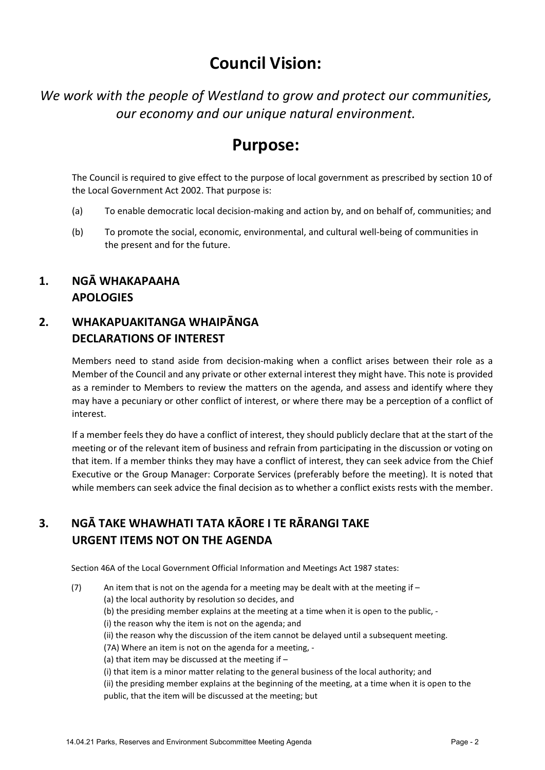## **Council Vision:**

*We work with the people of Westland to grow and protect our communities, our economy and our unique natural environment.* 

## **Purpose:**

The Council is required to give effect to the purpose of local government as prescribed by section 10 of the Local Government Act 2002. That purpose is:

- (a) To enable democratic local decision-making and action by, and on behalf of, communities; and
- (b) To promote the social, economic, environmental, and cultural well-being of communities in the present and for the future.

### **1. NGĀ WHAKAPAAHA APOLOGIES**

#### **2. WHAKAPUAKITANGA WHAIPĀNGA DECLARATIONS OF INTEREST**

Members need to stand aside from decision-making when a conflict arises between their role as a Member of the Council and any private or other external interest they might have. This note is provided as a reminder to Members to review the matters on the agenda, and assess and identify where they may have a pecuniary or other conflict of interest, or where there may be a perception of a conflict of interest.

If a member feels they do have a conflict of interest, they should publicly declare that at the start of the meeting or of the relevant item of business and refrain from participating in the discussion or voting on that item. If a member thinks they may have a conflict of interest, they can seek advice from the Chief Executive or the Group Manager: Corporate Services (preferably before the meeting). It is noted that while members can seek advice the final decision as to whether a conflict exists rests with the member.

## **3. NGĀ TAKE WHAWHATI TATA KĀORE I TE RĀRANGI TAKE URGENT ITEMS NOT ON THE AGENDA**

Section 46A of the Local Government Official Information and Meetings Act 1987 states:

(7) An item that is not on the agenda for a meeting may be dealt with at the meeting if  $-$ 

(a) the local authority by resolution so decides, and

(b) the presiding member explains at the meeting at a time when it is open to the public, -

(i) the reason why the item is not on the agenda; and

(ii) the reason why the discussion of the item cannot be delayed until a subsequent meeting.

(7A) Where an item is not on the agenda for a meeting, -

(a) that item may be discussed at the meeting if  $-$ 

(i) that item is a minor matter relating to the general business of the local authority; and

(ii) the presiding member explains at the beginning of the meeting, at a time when it is open to the public, that the item will be discussed at the meeting; but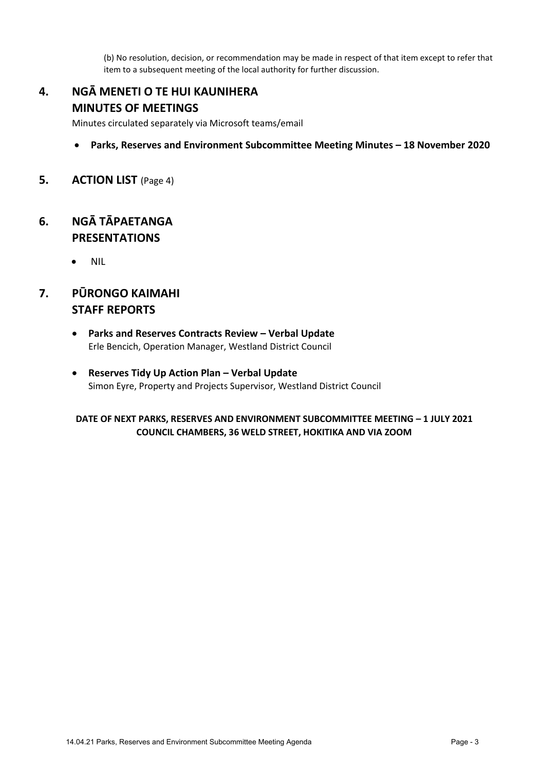(b) No resolution, decision, or recommendation may be made in respect of that item except to refer that item to a subsequent meeting of the local authority for further discussion.

#### **4. NGĀ MENETI O TE HUI KAUNIHERA MINUTES OF MEETINGS**

Minutes circulated separately via Microsoft teams/email

- **Parks, Reserves and Environment Subcommittee Meeting Minutes 18 November 2020**
- **5. ACTION LIST** (Page 4)

#### **6. NGĀ TĀPAETANGA PRESENTATIONS**

• NIL

### **7. PŪRONGO KAIMAHI STAFF REPORTS**

- **Parks and Reserves Contracts Review Verbal Update**  Erle Bencich, Operation Manager, Westland District Council
- **Reserves Tidy Up Action Plan Verbal Update**  Simon Eyre, Property and Projects Supervisor, Westland District Council

#### **DATE OF NEXT PARKS, RESERVES AND ENVIRONMENT SUBCOMMITTEE MEETING – 1 JULY 2021 COUNCIL CHAMBERS, 36 WELD STREET, HOKITIKA AND VIA ZOOM**